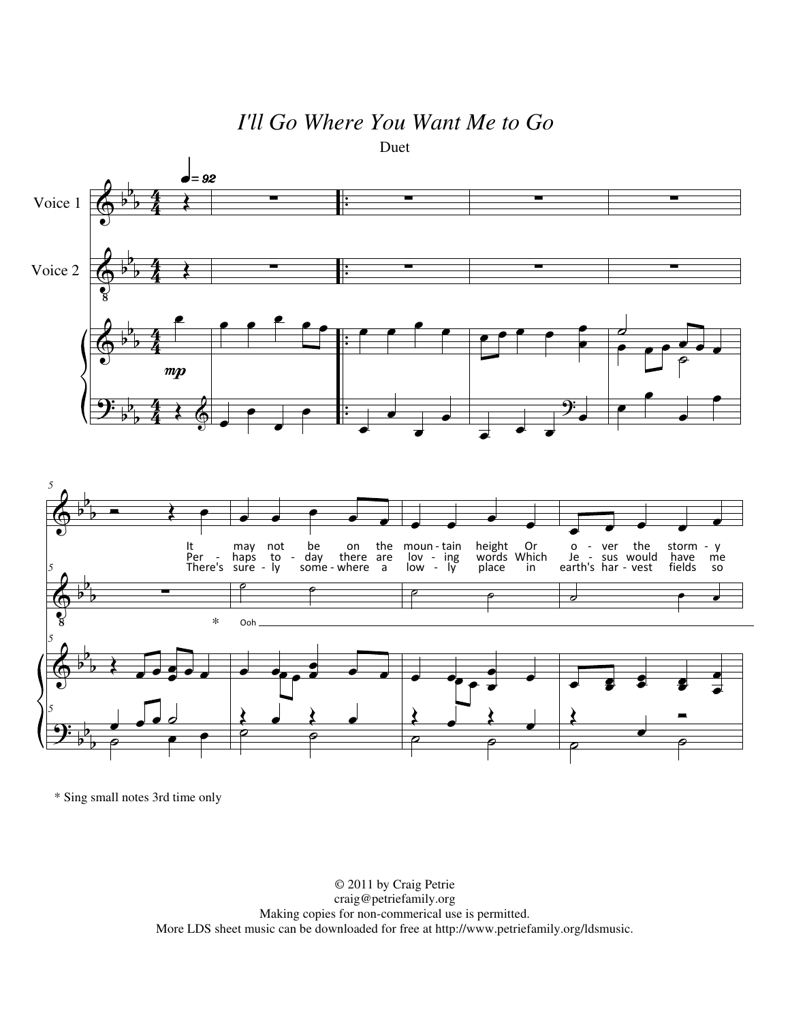## *I'll Go Where You Want Me to Go*



\* Sing small notes 3rd time only

© 2011 by Craig Petrie craig@petriefamily.org Making copies for non-commerical use is permitted. More LDS sheet music can be downloaded for free at http://www.petriefamily.org/ldsmusic.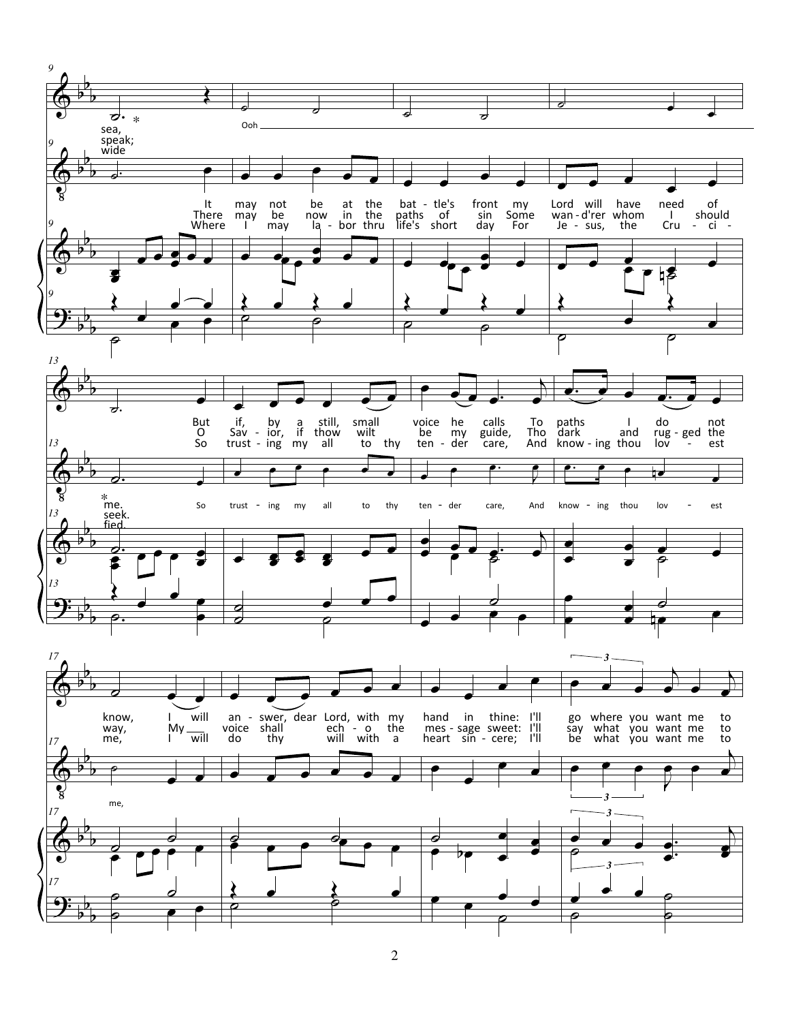

2